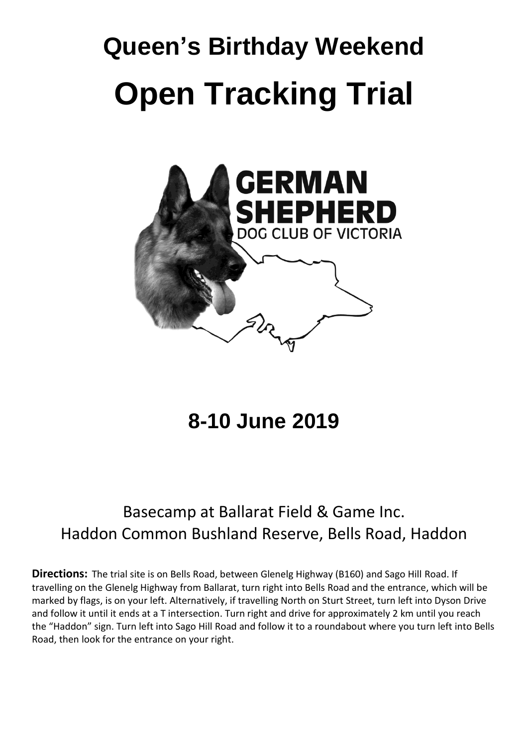## **Queen's Birthday Weekend Open Tracking Trial**



**8-10 June 2019**

## Basecamp at Ballarat Field & Game Inc. Haddon Common Bushland Reserve, Bells Road, Haddon

**Directions:** The trial site is on Bells Road, between Glenelg Highway (B160) and Sago Hill Road. If travelling on the Glenelg Highway from Ballarat, turn right into Bells Road and the entrance, which will be marked by flags, is on your left. Alternatively, if travelling North on Sturt Street, turn left into Dyson Drive and follow it until it ends at a T intersection. Turn right and drive for approximately 2 km until you reach the "Haddon" sign. Turn left into Sago Hill Road and follow it to a roundabout where you turn left into Bells Road, then look for the entrance on your right.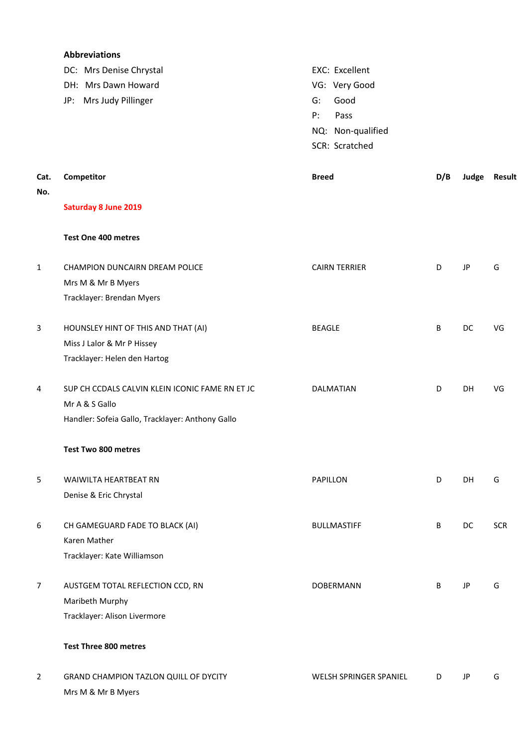|                | <b>Abbreviations</b>                             |                        |     |    |              |
|----------------|--------------------------------------------------|------------------------|-----|----|--------------|
|                | DC: Mrs Denise Chrystal                          | EXC: Excellent         |     |    |              |
|                | DH: Mrs Dawn Howard                              | VG: Very Good          |     |    |              |
|                | Mrs Judy Pillinger<br>JP:                        | Good<br>G:             |     |    |              |
|                |                                                  | P:<br>Pass             |     |    |              |
|                |                                                  | NQ: Non-qualified      |     |    |              |
|                |                                                  | SCR: Scratched         |     |    |              |
|                |                                                  |                        |     |    |              |
| Cat.           | Competitor                                       | <b>Breed</b>           | D/B |    | Judge Result |
| No.            |                                                  |                        |     |    |              |
|                | <b>Saturday 8 June 2019</b>                      |                        |     |    |              |
|                | <b>Test One 400 metres</b>                       |                        |     |    |              |
| 1              | CHAMPION DUNCAIRN DREAM POLICE                   | <b>CAIRN TERRIER</b>   | D   | JP | G            |
|                | Mrs M & Mr B Myers                               |                        |     |    |              |
|                | Tracklayer: Brendan Myers                        |                        |     |    |              |
|                |                                                  |                        |     |    |              |
| 3              | HOUNSLEY HINT OF THIS AND THAT (AI)              | <b>BEAGLE</b>          | B   | DC | VG           |
|                | Miss J Lalor & Mr P Hissey                       |                        |     |    |              |
|                | Tracklayer: Helen den Hartog                     |                        |     |    |              |
|                |                                                  |                        |     |    |              |
| 4              | SUP CH CCDALS CALVIN KLEIN ICONIC FAME RN ET JC  | DALMATIAN              | D   | DH | VG           |
|                | Mr A & S Gallo                                   |                        |     |    |              |
|                | Handler: Sofeia Gallo, Tracklayer: Anthony Gallo |                        |     |    |              |
|                | Test Two 800 metres                              |                        |     |    |              |
| 5              | <b>WAIWILTA HEARTBEAT RN</b>                     | PAPILLON               | D   | DH | G            |
|                | Denise & Eric Chrystal                           |                        |     |    |              |
| 6              | CH GAMEGUARD FADE TO BLACK (AI)                  | <b>BULLMASTIFF</b>     | B   | DC | <b>SCR</b>   |
|                | Karen Mather                                     |                        |     |    |              |
|                | Tracklayer: Kate Williamson                      |                        |     |    |              |
| $\overline{7}$ | AUSTGEM TOTAL REFLECTION CCD, RN                 | DOBERMANN              | B   | JP | G            |
|                | Maribeth Murphy                                  |                        |     |    |              |
|                | Tracklayer: Alison Livermore                     |                        |     |    |              |
|                | <b>Test Three 800 metres</b>                     |                        |     |    |              |
| $\overline{2}$ | GRAND CHAMPION TAZLON QUILL OF DYCITY            | WELSH SPRINGER SPANIEL | D   | JP | G            |
|                | Mrs M & Mr B Myers                               |                        |     |    |              |
|                |                                                  |                        |     |    |              |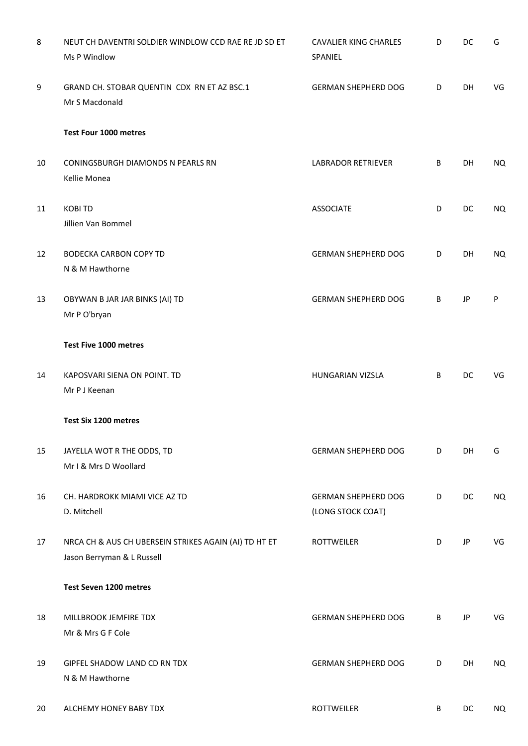| 8  | NEUT CH DAVENTRI SOLDIER WINDLOW CCD RAE RE JD SD ET<br>Ms P Windlow                | <b>CAVALIER KING CHARLES</b><br>SPANIEL         | D | DC        | G   |
|----|-------------------------------------------------------------------------------------|-------------------------------------------------|---|-----------|-----|
| 9  | GRAND CH. STOBAR QUENTIN CDX RN ET AZ BSC.1<br>Mr S Macdonald                       | <b>GERMAN SHEPHERD DOG</b>                      | D | DH        | VG  |
|    | Test Four 1000 metres                                                               |                                                 |   |           |     |
| 10 | CONINGSBURGH DIAMONDS N PEARLS RN<br>Kellie Monea                                   | LABRADOR RETRIEVER                              | B | DH        | NQ. |
| 11 | <b>KOBI TD</b><br>Jillien Van Bommel                                                | <b>ASSOCIATE</b>                                | D | DC        | NQ. |
| 12 | <b>BODECKA CARBON COPY TD</b><br>N & M Hawthorne                                    | <b>GERMAN SHEPHERD DOG</b>                      | D | DH        | NQ. |
| 13 | OBYWAN B JAR JAR BINKS (AI) TD<br>Mr P O'bryan                                      | <b>GERMAN SHEPHERD DOG</b>                      | B | JP        | P   |
|    | Test Five 1000 metres                                                               |                                                 |   |           |     |
| 14 | KAPOSVARI SIENA ON POINT. TD<br>Mr P J Keenan                                       | HUNGARIAN VIZSLA                                | B | DC        | VG  |
|    | Test Six 1200 metres                                                                |                                                 |   |           |     |
| 15 | JAYELLA WOT R THE ODDS, TD<br>Mr I & Mrs D Woollard                                 | <b>GERMAN SHEPHERD DOG</b>                      | D | DH        | G   |
| 16 | CH. HARDROKK MIAMI VICE AZ TD<br>D. Mitchell                                        | <b>GERMAN SHEPHERD DOG</b><br>(LONG STOCK COAT) | D | DC        | NQ. |
| 17 | NRCA CH & AUS CH UBERSEIN STRIKES AGAIN (AI) TD HT ET<br>Jason Berryman & L Russell | <b>ROTTWEILER</b>                               | D | JP        | VG  |
|    | Test Seven 1200 metres                                                              |                                                 |   |           |     |
| 18 | MILLBROOK JEMFIRE TDX<br>Mr & Mrs G F Cole                                          | <b>GERMAN SHEPHERD DOG</b>                      | B | JP        | VG  |
| 19 | GIPFEL SHADOW LAND CD RN TDX<br>N & M Hawthorne                                     | <b>GERMAN SHEPHERD DOG</b>                      | D | DH        | NQ  |
| 20 | ALCHEMY HONEY BABY TDX                                                              | <b>ROTTWEILER</b>                               | B | <b>DC</b> | NQ. |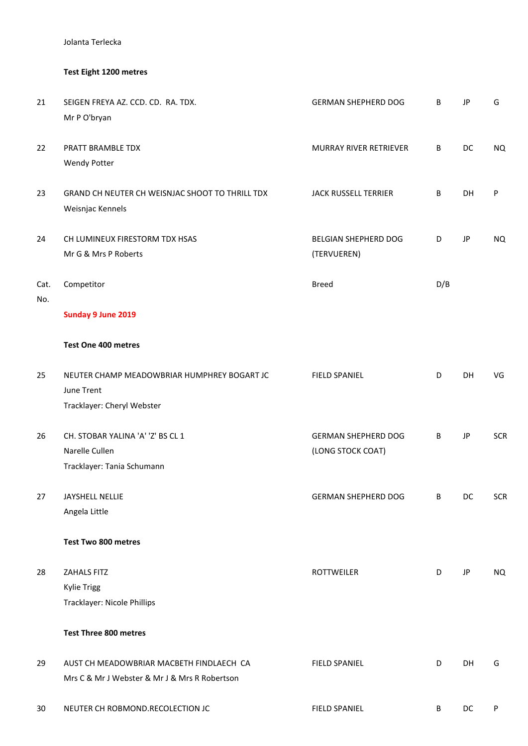Jolanta Terlecka

## **Test Eight 1200 metres**

| 21          | SEIGEN FREYA AZ. CCD. CD. RA. TDX.<br>Mr P O'bryan                                        | <b>GERMAN SHEPHERD DOG</b>                      | В   | JP | G          |
|-------------|-------------------------------------------------------------------------------------------|-------------------------------------------------|-----|----|------------|
| 22          | PRATT BRAMBLE TDX<br><b>Wendy Potter</b>                                                  | <b>MURRAY RIVER RETRIEVER</b>                   | В   | DC | <b>NQ</b>  |
| 23          | GRAND CH NEUTER CH WEISNJAC SHOOT TO THRILL TDX<br>Weisnjac Kennels                       | <b>JACK RUSSELL TERRIER</b>                     | В   | DH | P          |
| 24          | CH LUMINEUX FIRESTORM TDX HSAS<br>Mr G & Mrs P Roberts                                    | BELGIAN SHEPHERD DOG<br>(TERVUEREN)             | D   | JP | NQ         |
| Cat.<br>No. | Competitor                                                                                | <b>Breed</b>                                    | D/B |    |            |
|             | Sunday 9 June 2019                                                                        |                                                 |     |    |            |
|             | <b>Test One 400 metres</b>                                                                |                                                 |     |    |            |
| 25          | NEUTER CHAMP MEADOWBRIAR HUMPHREY BOGART JC<br>June Trent<br>Tracklayer: Cheryl Webster   | <b>FIELD SPANIEL</b>                            | D   | DH | VG         |
| 26          | CH. STOBAR YALINA 'A' 'Z' BS CL 1<br>Narelle Cullen<br>Tracklayer: Tania Schumann         | <b>GERMAN SHEPHERD DOG</b><br>(LONG STOCK COAT) | В   | JP | <b>SCR</b> |
| 27          | JAYSHELL NELLIE<br>Angela Little                                                          | <b>GERMAN SHEPHERD DOG</b>                      | В   | DC | <b>SCR</b> |
|             | <b>Test Two 800 metres</b>                                                                |                                                 |     |    |            |
| 28          | ZAHALS FITZ<br><b>Kylie Trigg</b><br>Tracklayer: Nicole Phillips                          | <b>ROTTWEILER</b>                               | D   | JP | NQ         |
|             | <b>Test Three 800 metres</b>                                                              |                                                 |     |    |            |
| 29          | AUST CH MEADOWBRIAR MACBETH FINDLAECH CA<br>Mrs C & Mr J Webster & Mr J & Mrs R Robertson | <b>FIELD SPANIEL</b>                            | D   | DH | G          |
| 30          | NEUTER CH ROBMOND.RECOLECTION JC                                                          | <b>FIELD SPANIEL</b>                            | B   | DC | P          |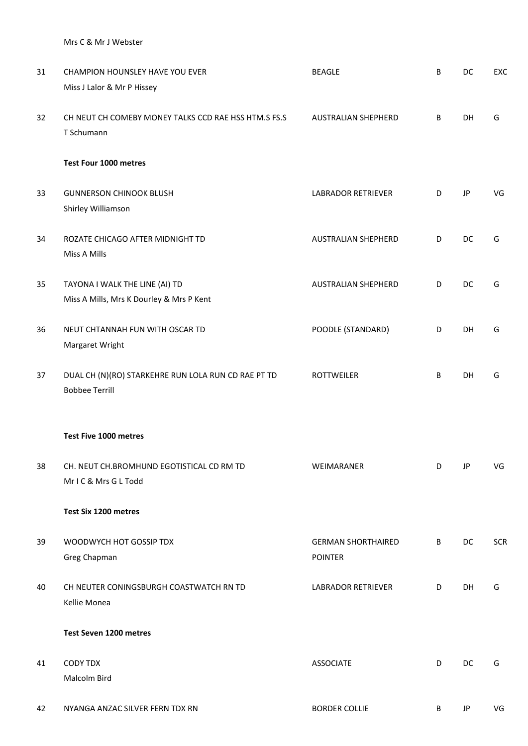Mrs C & Mr J Webster

| 31 | CHAMPION HOUNSLEY HAVE YOU EVER                                              | <b>BEAGLE</b>                               | B | DC        | EXC        |
|----|------------------------------------------------------------------------------|---------------------------------------------|---|-----------|------------|
|    | Miss J Lalor & Mr P Hissey                                                   |                                             |   |           |            |
| 32 | CH NEUT CH COMEBY MONEY TALKS CCD RAE HSS HTM.S FS.S<br>T Schumann           | AUSTRALIAN SHEPHERD                         | B | <b>DH</b> | G          |
|    | Test Four 1000 metres                                                        |                                             |   |           |            |
| 33 | <b>GUNNERSON CHINOOK BLUSH</b><br>Shirley Williamson                         | <b>LABRADOR RETRIEVER</b>                   | D | JP        | VG         |
| 34 | ROZATE CHICAGO AFTER MIDNIGHT TD<br>Miss A Mills                             | AUSTRALIAN SHEPHERD                         | D | DC        | G          |
| 35 | TAYONA I WALK THE LINE (AI) TD<br>Miss A Mills, Mrs K Dourley & Mrs P Kent   | AUSTRALIAN SHEPHERD                         | D | DC        | G          |
| 36 | NEUT CHTANNAH FUN WITH OSCAR TD<br>Margaret Wright                           | POODLE (STANDARD)                           | D | DH        | G          |
| 37 | DUAL CH (N)(RO) STARKEHRE RUN LOLA RUN CD RAE PT TD<br><b>Bobbee Terrill</b> | <b>ROTTWEILER</b>                           | B | DH        | G          |
|    | Test Five 1000 metres                                                        |                                             |   |           |            |
| 38 | CH. NEUT CH.BROMHUND EGOTISTICAL CD RM TD<br>MrIC& Mrs GL Todd               | WEIMARANER                                  | D | JP        | VG         |
|    | Test Six 1200 metres                                                         |                                             |   |           |            |
| 39 | WOODWYCH HOT GOSSIP TDX<br>Greg Chapman                                      | <b>GERMAN SHORTHAIRED</b><br><b>POINTER</b> | B | DC        | <b>SCR</b> |
| 40 | CH NEUTER CONINGSBURGH COASTWATCH RN TD<br>Kellie Monea                      | <b>LABRADOR RETRIEVER</b>                   | D | DH        | G          |
|    | Test Seven 1200 metres                                                       |                                             |   |           |            |
| 41 | <b>CODY TDX</b><br>Malcolm Bird                                              | <b>ASSOCIATE</b>                            | D | DC        | G          |
| 42 | NYANGA ANZAC SILVER FERN TDX RN                                              | <b>BORDER COLLIE</b>                        | B | JP        | VG         |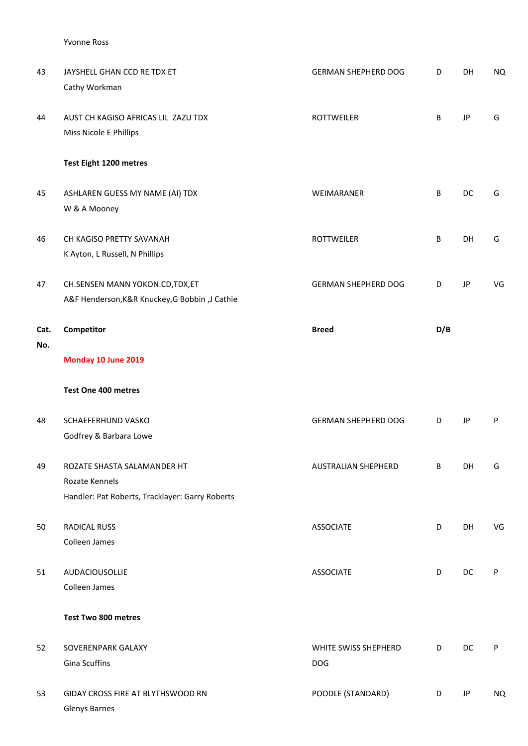Yvonne Ross

| 43          | JAYSHELL GHAN CCD RE TDX ET<br>Cathy Workman                                                     | <b>GERMAN SHEPHERD DOG</b>         | D   | DH | <b>NQ</b> |
|-------------|--------------------------------------------------------------------------------------------------|------------------------------------|-----|----|-----------|
| 44          | AUST CH KAGISO AFRICAS LIL ZAZU TDX<br>Miss Nicole E Phillips                                    | <b>ROTTWEILER</b>                  | B   | JP | G         |
|             | Test Eight 1200 metres                                                                           |                                    |     |    |           |
| 45          | ASHLAREN GUESS MY NAME (AI) TDX<br>W & A Mooney                                                  | WEIMARANER                         | B   | DC | G         |
| 46          | CH KAGISO PRETTY SAVANAH<br>K Ayton, L Russell, N Phillips                                       | <b>ROTTWEILER</b>                  | B   | DH | G         |
| 47          | CH.SENSEN MANN YOKON.CD, TDX, ET<br>A&F Henderson, K&R Knuckey, G Bobbin, J Cathie               | <b>GERMAN SHEPHERD DOG</b>         | D   | JP | VG        |
| Cat.<br>No. | Competitor<br>Monday 10 June 2019                                                                | <b>Breed</b>                       | D/B |    |           |
|             | Test One 400 metres                                                                              |                                    |     |    |           |
| 48          | SCHAEFERHUND VASKO<br>Godfrey & Barbara Lowe                                                     | <b>GERMAN SHEPHERD DOG</b>         | D   | JP | P         |
| 49          | ROZATE SHASTA SALAMANDER HT<br>Rozate Kennels<br>Handler: Pat Roberts, Tracklayer: Garry Roberts | <b>AUSTRALIAN SHEPHERD</b>         | В   | DH | G         |
| 50          | <b>RADICAL RUSS</b><br>Colleen James                                                             | <b>ASSOCIATE</b>                   | D   | DH | VG        |
| 51          | AUDACIOUSOLLIE<br>Colleen James                                                                  | <b>ASSOCIATE</b>                   | D   | DC | P         |
|             | Test Two 800 metres                                                                              |                                    |     |    |           |
| 52          | SOVERENPARK GALAXY<br>Gina Scuffins                                                              | WHITE SWISS SHEPHERD<br><b>DOG</b> | D   | DC | P         |
| 53          | GIDAY CROSS FIRE AT BLYTHSWOOD RN<br><b>Glenys Barnes</b>                                        | POODLE (STANDARD)                  | D   | JP | <b>NQ</b> |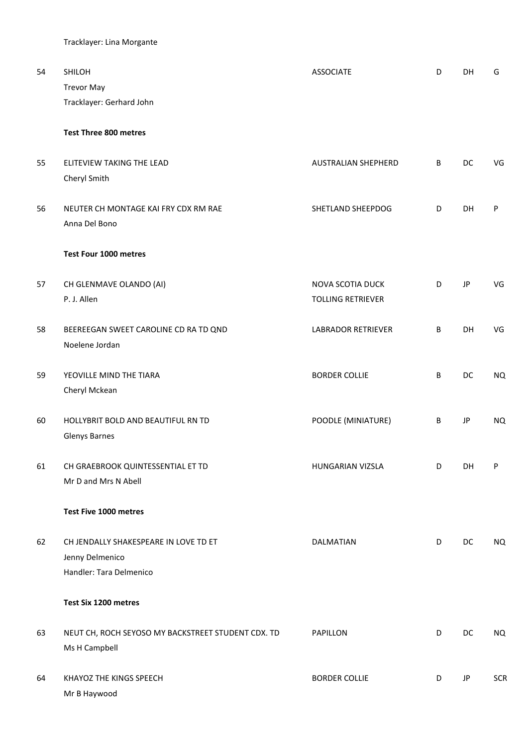Tracklayer: Lina Morgante

| 54 | SHILOH<br><b>Trevor May</b>                                                         | <b>ASSOCIATE</b>                                    | D | <b>DH</b> | G          |
|----|-------------------------------------------------------------------------------------|-----------------------------------------------------|---|-----------|------------|
|    | Tracklayer: Gerhard John                                                            |                                                     |   |           |            |
|    | <b>Test Three 800 metres</b>                                                        |                                                     |   |           |            |
| 55 | ELITEVIEW TAKING THE LEAD<br>Cheryl Smith                                           | AUSTRALIAN SHEPHERD                                 | B | DC        | VG         |
| 56 | NEUTER CH MONTAGE KAI FRY CDX RM RAE<br>Anna Del Bono                               | SHETLAND SHEEPDOG                                   | D | DH        | P          |
|    | Test Four 1000 metres                                                               |                                                     |   |           |            |
| 57 | CH GLENMAVE OLANDO (AI)<br>P. J. Allen                                              | <b>NOVA SCOTIA DUCK</b><br><b>TOLLING RETRIEVER</b> | D | JP        | VG         |
| 58 | BEEREEGAN SWEET CAROLINE CD RA TD QND<br>Noelene Jordan                             | <b>LABRADOR RETRIEVER</b>                           | B | DH        | VG         |
| 59 | YEOVILLE MIND THE TIARA<br>Cheryl Mckean                                            | <b>BORDER COLLIE</b>                                | B | DC        | <b>NQ</b>  |
| 60 | HOLLYBRIT BOLD AND BEAUTIFUL RN TD<br><b>Glenys Barnes</b>                          | POODLE (MINIATURE)                                  | B | JP        | <b>NQ</b>  |
| 61 | CH GRAEBROOK QUINTESSENTIAL ET TD<br>Mr D and Mrs N Abell                           | HUNGARIAN VIZSLA                                    | D | DH        | P          |
|    | Test Five 1000 metres                                                               |                                                     |   |           |            |
| 62 | CH JENDALLY SHAKESPEARE IN LOVE TD ET<br>Jenny Delmenico<br>Handler: Tara Delmenico | DALMATIAN                                           | D | DC        | NQ         |
|    | Test Six 1200 metres                                                                |                                                     |   |           |            |
| 63 | NEUT CH, ROCH SEYOSO MY BACKSTREET STUDENT CDX. TD<br>Ms H Campbell                 | PAPILLON                                            | D | DC        | NQ         |
| 64 | KHAYOZ THE KINGS SPEECH<br>Mr B Haywood                                             | <b>BORDER COLLIE</b>                                | D | JP        | <b>SCR</b> |